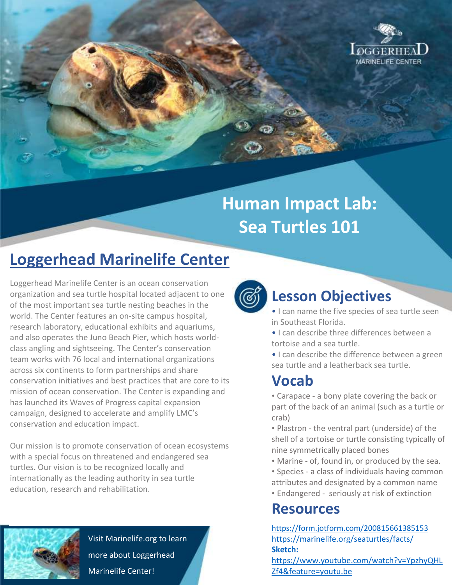

### **Human Impact Lab: Sea Turtles 101**

#### **Loggerhead Marinelife Center**

Loggerhead Marinelife Center is an ocean conservation organization and sea turtle hospital located adjacent to one of the most important sea turtle nesting beaches in the world. The Center features an on-site campus hospital, research laboratory, educational exhibits and aquariums, and also operates the Juno Beach Pier, which hosts worldclass angling and sightseeing. The Center's conservation team works with 76 local and international organizations across six continents to form partnerships and share conservation initiatives and best practices that are core to its mission of ocean conservation. The Center is expanding and has launched its Waves of Progress capital expansion campaign, designed to accelerate and amplify LMC's conservation and education impact.

Our mission is to promote conservation of ocean ecosystems with a special focus on threatened and endangered sea turtles. Our vision is to be recognized locally and internationally as the leading authority in sea turtle education, research and rehabilitation.



Visit Marinelife.org to learn more about Loggerhead Marinelife Center!



#### **Lesson Objectives**

- I can name the five species of sea turtle seen in Southeast Florida.
- I can describe three differences between a tortoise and a sea turtle.
- I can describe the difference between a green sea turtle and a leatherback sea turtle.

#### **Vocab**

- Carapace a bony plate covering the back or part of the back of an animal (such as a turtle or crab)
- Plastron the ventral part (underside) of the shell of a tortoise or turtle consisting typically of nine symmetrically placed bones
- Marine of, found in, or produced by the sea.
- Species a class of individuals having common attributes and designated by a common name
- Endangered seriously at risk of extinction

#### **Resources**

<https://form.jotform.com/200815661385153> <https://marinelife.org/seaturtles/facts/> **Sketch:** 

[https://www.youtube.com/watch?v=YpzhyQHL](https://www.youtube.com/watch?v=YpzhyQHLZf4&feature=youtu.be) [Zf4&feature=youtu.be](https://www.youtube.com/watch?v=YpzhyQHLZf4&feature=youtu.be)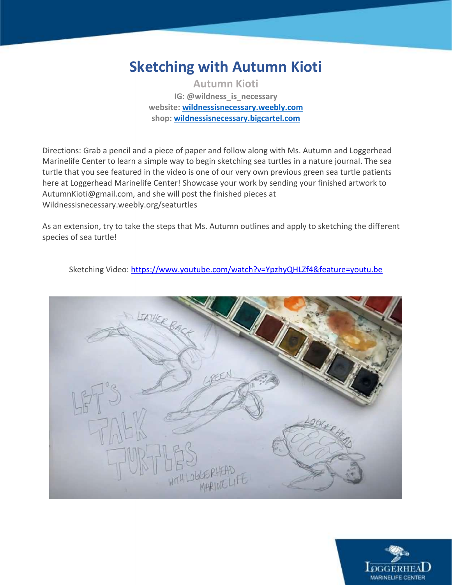#### **Sketching with Autumn Kioti**

**Autumn Kioti IG: @wildness\_is\_necessary website:<wildnessisnecessary.weebly.com> shop[: wildnessisnecessary.bigcartel.com](wildnessisnecessary.bigcartel.com)**

Directions: Grab a pencil and a piece of paper and follow along with Ms. Autumn and Loggerhead Marinelife Center to learn a simple way to begin sketching sea turtles in a nature journal. The sea turtle that you see featured in the video is one of our very own previous green sea turtle patients here at Loggerhead Marinelife Center! Showcase your work by sending your finished artwork to AutumnKioti@gmail.com, and she will post the finished pieces at Wildnessisnecessary.weebly.org/seaturtles

As an extension, try to take the steps that Ms. Autumn outlines and apply to sketching the different species of sea turtle!

Sketching Video:<https://www.youtube.com/watch?v=YpzhyQHLZf4&feature=youtu.be>



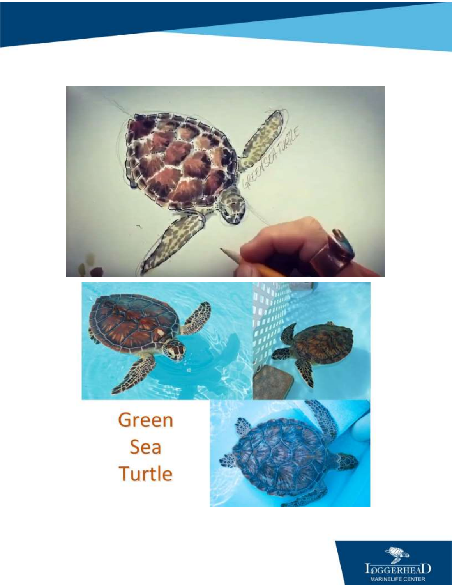

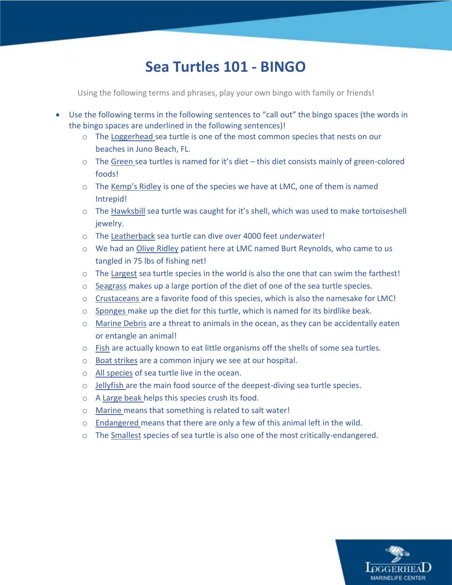#### **Sea Turtles 101 - BINGO**

Using the following terms and phrases, play your own bingo with family or friends!

- Use the following terms in the following sentences to "call out" the bingo spaces (the words in the bingo spaces are underlined in the following sentences)!
	- o The Loggerhead sea turtle is one of the most common species that nests on our beaches in Juno Beach, FL.
	- $\circ$  The Green sea turtles is named for it's diet this diet consists mainly of green-colored foods!
	- o The Kemp's Ridley is one of the species we have at LMC, one of them is named Intrepid!
	- o The Hawksbill sea turtle was caught for it's shell, which was used to make tortoiseshell jewelry.
	- o The Leatherback sea turtle can dive over 4000 feet underwater!
	- o We had an Olive Ridley patient here at LMC named Burt Reynolds, who came to us tangled in 75 lbs of fishing net!
	- o The Largest sea turtle species in the world is also the one that can swim the farthest!
	- $\circ$  Seagrass makes up a large portion of the diet of one of the sea turtle species.
	- $\circ$  Crustaceans are a favorite food of this species, which is also the namesake for LMC!
	- $\circ$  Sponges make up the diet for this turtle, which is named for its birdlike beak.
	- o Marine Debris are a threat to animals in the ocean, as they can be accidentally eaten or entangle an animal!
	- $\circ$  Fish are actually known to eat little organisms off the shells of some sea turtles.
	- o Boat strikes are a common injury we see at our hospital.
	- o All species of sea turtle live in the ocean.
	- o Jellyfish are the main food source of the deepest-diving sea turtle species.
	- o A Large beak helps this species crush its food.
	- o Marine means that something is related to salt water!
	- o Endangered means that there are only a few of this animal left in the wild.
	- o The Smallest species of sea turtle is also one of the most critically-endangered.

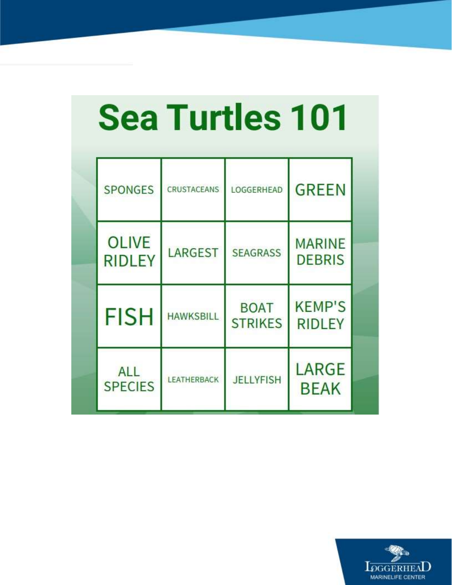## **Sea Turtles 101**

| <b>SPONGES</b>                | <b>CRUSTACEANS</b> | LOGGERHEAD                    | <b>GREEN</b>                   |  |
|-------------------------------|--------------------|-------------------------------|--------------------------------|--|
| <b>OLIVE</b><br><b>RIDLEY</b> | LARGEST            | <b>SEAGRASS</b>               | <b>MARINE</b><br><b>DEBRIS</b> |  |
| <b>FISH</b>                   | <b>HAWKSBILL</b>   | <b>BOAT</b><br><b>STRIKES</b> | <b>KEMP'S</b><br><b>RIDLEY</b> |  |
| ALL<br><b>SPECIES</b>         | <b>LEATHERBACK</b> | <b>JELLYFISH</b>              | LARGE<br><b>BEAK</b>           |  |

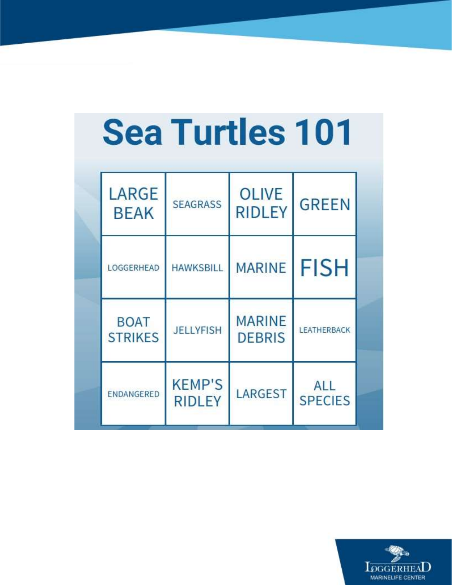## **Sea Turtles 101**

| LARGE<br><b>BEAK</b>          | <b>SEAGRASS</b>                | <b>OLIVE</b><br><b>RIDLEY</b>  | <b>GREEN</b>                 |  |
|-------------------------------|--------------------------------|--------------------------------|------------------------------|--|
| LOGGERHEAD                    | <b>HAWKSBILL</b>               | <b>MARINE</b>                  | <b>FISH</b>                  |  |
| <b>BOAT</b><br><b>STRIKES</b> | <b>JELLYFISH</b>               | <b>MARINE</b><br><b>DEBRIS</b> | <b>LEATHERBACK</b>           |  |
| ENDANGERED                    | <b>KEMP'S</b><br><b>RIDLEY</b> | LARGEST                        | <b>ALL</b><br><b>SPECIES</b> |  |